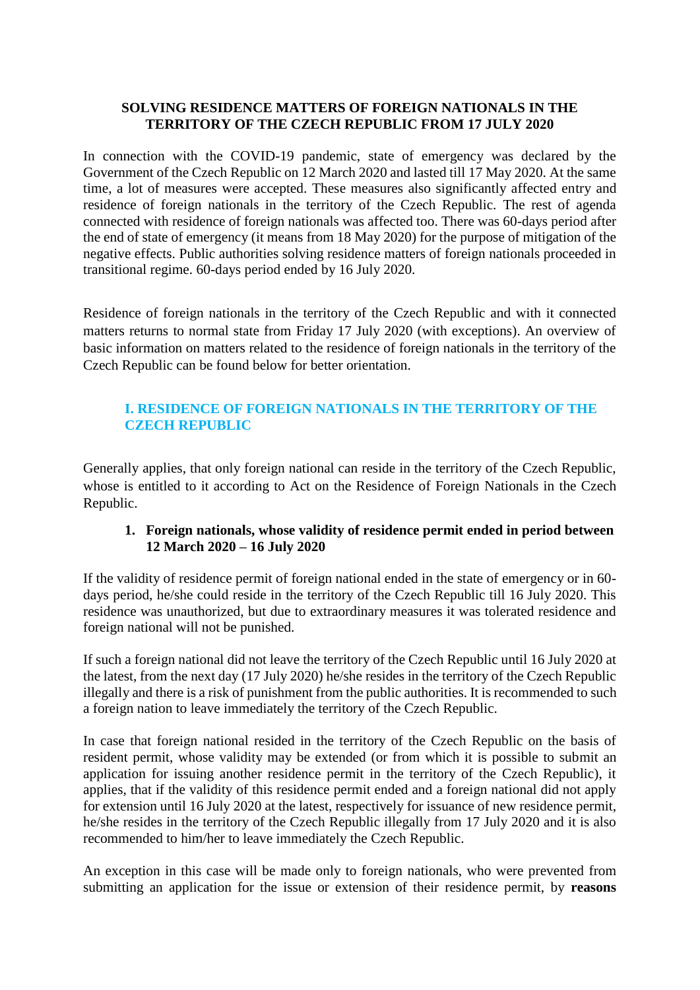#### **SOLVING RESIDENCE MATTERS OF FOREIGN NATIONALS IN THE TERRITORY OF THE CZECH REPUBLIC FROM 17 JULY 2020**

In connection with the COVID-19 pandemic, state of emergency was declared by the Government of the Czech Republic on 12 March 2020 and lasted till 17 May 2020. At the same time, a lot of measures were accepted. These measures also significantly affected entry and residence of foreign nationals in the territory of the Czech Republic. The rest of agenda connected with residence of foreign nationals was affected too. There was 60-days period after the end of state of emergency (it means from 18 May 2020) for the purpose of mitigation of the negative effects. Public authorities solving residence matters of foreign nationals proceeded in transitional regime. 60-days period ended by 16 July 2020.

Residence of foreign nationals in the territory of the Czech Republic and with it connected matters returns to normal state from Friday 17 July 2020 (with exceptions). An overview of basic information on matters related to the residence of foreign nationals in the territory of the Czech Republic can be found below for better orientation.

# **I. RESIDENCE OF FOREIGN NATIONALS IN THE TERRITORY OF THE CZECH REPUBLIC**

Generally applies, that only foreign national can reside in the territory of the Czech Republic, whose is entitled to it according to Act on the Residence of Foreign Nationals in the Czech Republic.

## **1. Foreign nationals, whose validity of residence permit ended in period between 12 March 2020 – 16 July 2020**

If the validity of residence permit of foreign national ended in the state of emergency or in 60 days period, he/she could reside in the territory of the Czech Republic till 16 July 2020. This residence was unauthorized, but due to extraordinary measures it was tolerated residence and foreign national will not be punished.

If such a foreign national did not leave the territory of the Czech Republic until 16 July 2020 at the latest, from the next day (17 July 2020) he/she resides in the territory of the Czech Republic illegally and there is a risk of punishment from the public authorities. It is recommended to such a foreign nation to leave immediately the territory of the Czech Republic.

In case that foreign national resided in the territory of the Czech Republic on the basis of resident permit, whose validity may be extended (or from which it is possible to submit an application for issuing another residence permit in the territory of the Czech Republic), it applies, that if the validity of this residence permit ended and a foreign national did not apply for extension until 16 July 2020 at the latest, respectively for issuance of new residence permit, he/she resides in the territory of the Czech Republic illegally from 17 July 2020 and it is also recommended to him/her to leave immediately the Czech Republic.

An exception in this case will be made only to foreign nationals, who were prevented from submitting an application for the issue or extension of their residence permit, by **reasons**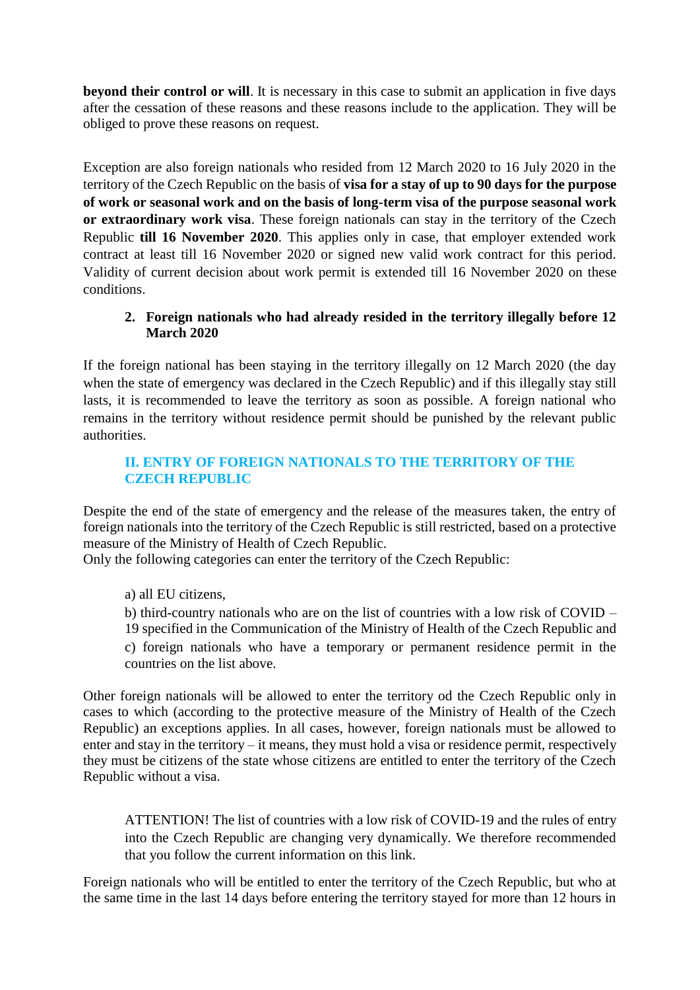**beyond their control or will**. It is necessary in this case to submit an application in five days after the cessation of these reasons and these reasons include to the application. They will be obliged to prove these reasons on request.

Exception are also foreign nationals who resided from 12 March 2020 to 16 July 2020 in the territory of the Czech Republic on the basis of **visa for a stay of up to 90 days for the purpose of work or seasonal work and on the basis of long-term visa of the purpose seasonal work or extraordinary work visa**. These foreign nationals can stay in the territory of the Czech Republic **till 16 November 2020**. This applies only in case, that employer extended work contract at least till 16 November 2020 or signed new valid work contract for this period. Validity of current decision about work permit is extended till 16 November 2020 on these conditions.

# **2. Foreign nationals who had already resided in the territory illegally before 12 March 2020**

If the foreign national has been staying in the territory illegally on 12 March 2020 (the day when the state of emergency was declared in the Czech Republic) and if this illegally stay still lasts, it is recommended to leave the territory as soon as possible. A foreign national who remains in the territory without residence permit should be punished by the relevant public authorities.

# **II. ENTRY OF FOREIGN NATIONALS TO THE TERRITORY OF THE CZECH REPUBLIC**

Despite the end of the state of emergency and the release of the measures taken, the entry of foreign nationals into the territory of the Czech Republic is still restricted, based on a protective measure of the Ministry of Health of Czech Republic.

Only the following categories can enter the territory of the Czech Republic:

a) all EU citizens,

b) third-country nationals who are on the list of countries with a low risk of COVID – 19 specified in the Communication of the Ministry of Health of the Czech Republic and c) foreign nationals who have a temporary or permanent residence permit in the countries on the list above.

Other foreign nationals will be allowed to enter the territory od the Czech Republic only in cases to which (according to the protective measure of the Ministry of Health of the Czech Republic) an exceptions applies. In all cases, however, foreign nationals must be allowed to enter and stay in the territory – it means, they must hold a visa or residence permit, respectively they must be citizens of the state whose citizens are entitled to enter the territory of the Czech Republic without a visa.

ATTENTION! The list of countries with a low risk of COVID-19 and the rules of entry into the Czech Republic are changing very dynamically. We therefore recommended that you follow the current information on this link.

Foreign nationals who will be entitled to enter the territory of the Czech Republic, but who at the same time in the last 14 days before entering the territory stayed for more than 12 hours in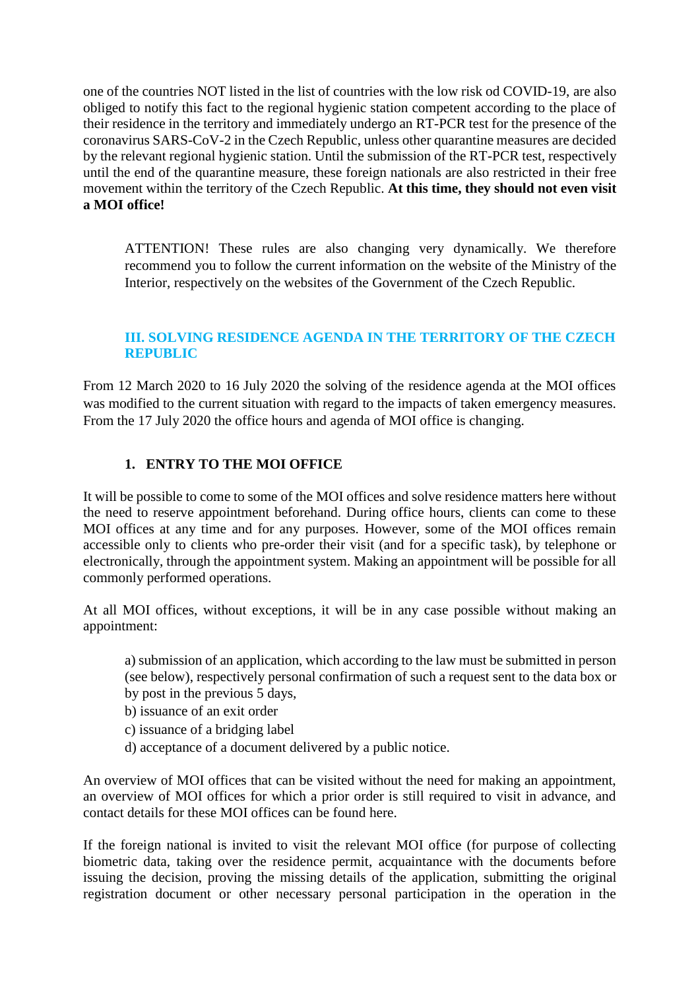one of the countries NOT listed in the list of countries with the low risk od COVID-19, are also obliged to notify this fact to the regional hygienic station competent according to the place of their residence in the territory and immediately undergo an RT-PCR test for the presence of the coronavirus SARS-CoV-2 in the Czech Republic, unless other quarantine measures are decided by the relevant regional hygienic station. Until the submission of the RT-PCR test, respectively until the end of the quarantine measure, these foreign nationals are also restricted in their free movement within the territory of the Czech Republic. **At this time, they should not even visit a MOI office!** 

ATTENTION! These rules are also changing very dynamically. We therefore recommend you to follow the current information on the website of the Ministry of the Interior, respectively on the websites of the Government of the Czech Republic.

## **III. SOLVING RESIDENCE AGENDA IN THE TERRITORY OF THE CZECH REPUBLIC**

From 12 March 2020 to 16 July 2020 the solving of the residence agenda at the MOI offices was modified to the current situation with regard to the impacts of taken emergency measures. From the 17 July 2020 the office hours and agenda of MOI office is changing.

# **1. ENTRY TO THE MOI OFFICE**

It will be possible to come to some of the MOI offices and solve residence matters here without the need to reserve appointment beforehand. During office hours, clients can come to these MOI offices at any time and for any purposes. However, some of the MOI offices remain accessible only to clients who pre-order their visit (and for a specific task), by telephone or electronically, through the appointment system. Making an appointment will be possible for all commonly performed operations.

At all MOI offices, without exceptions, it will be in any case possible without making an appointment:

a) submission of an application, which according to the law must be submitted in person (see below), respectively personal confirmation of such a request sent to the data box or by post in the previous 5 days,

- b) issuance of an exit order
- c) issuance of a bridging label
- d) acceptance of a document delivered by a public notice.

An overview of MOI offices that can be visited without the need for making an appointment, an overview of MOI offices for which a prior order is still required to visit in advance, and contact details for these MOI offices can be found here.

If the foreign national is invited to visit the relevant MOI office (for purpose of collecting biometric data, taking over the residence permit, acquaintance with the documents before issuing the decision, proving the missing details of the application, submitting the original registration document or other necessary personal participation in the operation in the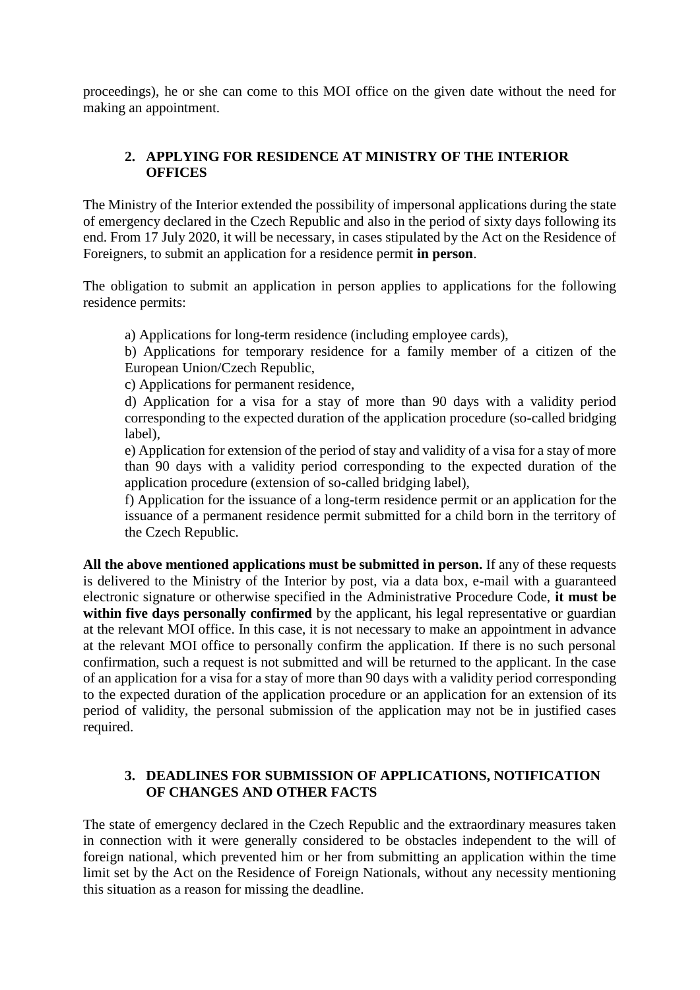proceedings), he or she can come to this MOI office on the given date without the need for making an appointment.

## **2. APPLYING FOR RESIDENCE AT MINISTRY OF THE INTERIOR OFFICES**

The Ministry of the Interior extended the possibility of impersonal applications during the state of emergency declared in the Czech Republic and also in the period of sixty days following its end. From 17 July 2020, it will be necessary, in cases stipulated by the Act on the Residence of Foreigners, to submit an application for a residence permit **in person**.

The obligation to submit an application in person applies to applications for the following residence permits:

a) Applications for long-term residence (including employee cards),

b) Applications for temporary residence for a family member of a citizen of the European Union/Czech Republic,

c) Applications for permanent residence,

d) Application for a visa for a stay of more than 90 days with a validity period corresponding to the expected duration of the application procedure (so-called bridging label),

e) Application for extension of the period of stay and validity of a visa for a stay of more than 90 days with a validity period corresponding to the expected duration of the application procedure (extension of so-called bridging label),

f) Application for the issuance of a long-term residence permit or an application for the issuance of a permanent residence permit submitted for a child born in the territory of the Czech Republic.

**All the above mentioned applications must be submitted in person.** If any of these requests is delivered to the Ministry of the Interior by post, via a data box, e-mail with a guaranteed electronic signature or otherwise specified in the Administrative Procedure Code, **it must be within five days personally confirmed** by the applicant, his legal representative or guardian at the relevant MOI office. In this case, it is not necessary to make an appointment in advance at the relevant MOI office to personally confirm the application. If there is no such personal confirmation, such a request is not submitted and will be returned to the applicant. In the case of an application for a visa for a stay of more than 90 days with a validity period corresponding to the expected duration of the application procedure or an application for an extension of its period of validity, the personal submission of the application may not be in justified cases required.

## **3. DEADLINES FOR SUBMISSION OF APPLICATIONS, NOTIFICATION OF CHANGES AND OTHER FACTS**

The state of emergency declared in the Czech Republic and the extraordinary measures taken in connection with it were generally considered to be obstacles independent to the will of foreign national, which prevented him or her from submitting an application within the time limit set by the Act on the Residence of Foreign Nationals, without any necessity mentioning this situation as a reason for missing the deadline.